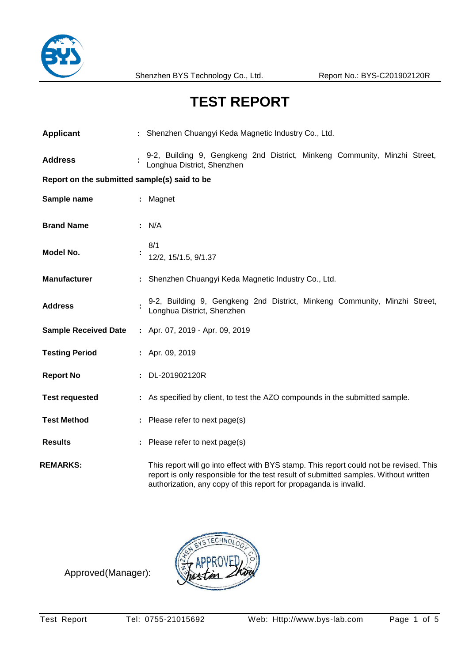

# **TEST REPORT**

| <b>Applicant</b>                             | : Shenzhen Chuangyi Keda Magnetic Industry Co., Ltd.                                                                                                                                                                                                |  |  |  |  |
|----------------------------------------------|-----------------------------------------------------------------------------------------------------------------------------------------------------------------------------------------------------------------------------------------------------|--|--|--|--|
| <b>Address</b>                               | 9-2, Building 9, Gengkeng 2nd District, Minkeng Community, Minzhi Street,<br>Longhua District, Shenzhen                                                                                                                                             |  |  |  |  |
| Report on the submitted sample(s) said to be |                                                                                                                                                                                                                                                     |  |  |  |  |
| Sample name                                  | : Magnet                                                                                                                                                                                                                                            |  |  |  |  |
| <b>Brand Name</b>                            | : N/A                                                                                                                                                                                                                                               |  |  |  |  |
| Model No.                                    | 8/1<br>12/2, 15/1.5, 9/1.37                                                                                                                                                                                                                         |  |  |  |  |
| <b>Manufacturer</b>                          | : Shenzhen Chuangyi Keda Magnetic Industry Co., Ltd.                                                                                                                                                                                                |  |  |  |  |
| <b>Address</b>                               | 9-2, Building 9, Gengkeng 2nd District, Minkeng Community, Minzhi Street,<br>Longhua District, Shenzhen                                                                                                                                             |  |  |  |  |
| <b>Sample Received Date</b>                  | : Apr. 07, 2019 - Apr. 09, 2019                                                                                                                                                                                                                     |  |  |  |  |
| <b>Testing Period</b>                        | : Apr. 09, 2019                                                                                                                                                                                                                                     |  |  |  |  |
| <b>Report No</b>                             | : DL-201902120R                                                                                                                                                                                                                                     |  |  |  |  |
| <b>Test requested</b>                        | : As specified by client, to test the AZO compounds in the submitted sample.                                                                                                                                                                        |  |  |  |  |
| <b>Test Method</b>                           | : Please refer to next page(s)                                                                                                                                                                                                                      |  |  |  |  |
| <b>Results</b>                               | Please refer to next page(s)                                                                                                                                                                                                                        |  |  |  |  |
| <b>REMARKS:</b>                              | This report will go into effect with BYS stamp. This report could not be revised. This<br>report is only responsible for the test result of submitted samples. Without written<br>authorization, any copy of this report for propaganda is invalid. |  |  |  |  |

Approved(Manager):

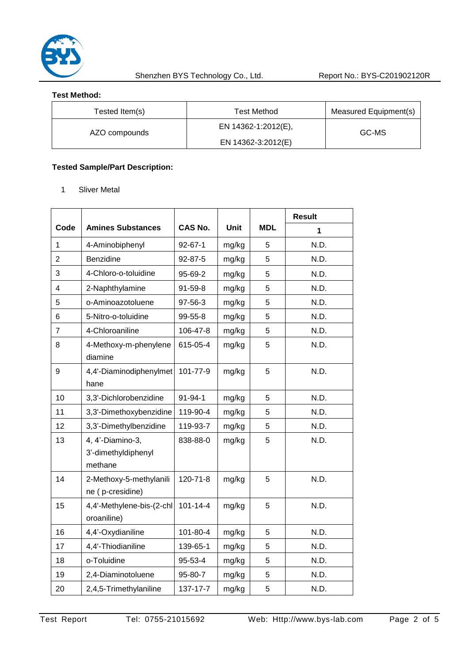

Shenzhen BYS Technology Co., Ltd. Report No.: BYS-C201902120R

#### **Test Method:**

| Tested Item(s) | Test Method         | Measured Equipment(s) |  |
|----------------|---------------------|-----------------------|--|
| AZO compounds  | EN 14362-1:2012(E), | GC-MS                 |  |
|                | EN 14362-3:2012(E)  |                       |  |

## **Tested Sample/Part Description:**

1 Sliver Metal

|                |                                                    |                |             |            | <b>Result</b> |
|----------------|----------------------------------------------------|----------------|-------------|------------|---------------|
| Code           | <b>Amines Substances</b>                           | <b>CAS No.</b> | <b>Unit</b> | <b>MDL</b> | 1             |
| 1              | 4-Aminobiphenyl                                    | $92 - 67 - 1$  | mg/kg       | 5          | N.D.          |
| $\overline{2}$ | Benzidine                                          | 92-87-5        | mg/kg       | 5          | N.D.          |
| 3              | 4-Chloro-o-toluidine                               | 95-69-2        | mg/kg       | 5          | N.D.          |
| 4              | 2-Naphthylamine                                    | 91-59-8        | mg/kg       | 5          | N.D.          |
| 5              | o-Aminoazotoluene                                  | 97-56-3        | mg/kg       | 5          | N.D.          |
| 6              | 5-Nitro-o-toluidine                                | 99-55-8        | mg/kg       | 5          | N.D.          |
| 7              | 4-Chloroaniline                                    | 106-47-8       | mg/kg       | 5          | N.D.          |
| 8              | 4-Methoxy-m-phenylene<br>diamine                   | 615-05-4       | mg/kg       | 5          | N.D.          |
| 9              | 4,4'-Diaminodiphenylmet<br>hane                    | 101-77-9       | mg/kg       | 5          | N.D.          |
| 10             | 3,3'-Dichlorobenzidine                             | 91-94-1        | mg/kg       | 5          | N.D.          |
| 11             | 3,3'-Dimethoxybenzidine                            | 119-90-4       | mg/kg       | 5          | N.D.          |
| 12             | 3,3'-Dimethylbenzidine                             | 119-93-7       | mg/kg       | 5          | N.D.          |
| 13             | 4, 4'-Diamino-3,<br>3'-dimethyldiphenyl<br>methane | 838-88-0       | mg/kg       | 5          | N.D.          |
| 14             | 2-Methoxy-5-methylanili<br>ne (p-cresidine)        | 120-71-8       | mg/kg       | 5          | N.D.          |
| 15             | 4,4'-Methylene-bis-(2-chl<br>oroaniline)           | $101 - 14 - 4$ | mg/kg       | 5          | N.D.          |
| 16             | 4,4'-Oxydianiline                                  | 101-80-4       | mg/kg       | 5          | N.D.          |
| 17             | 4,4'-Thiodianiline                                 | 139-65-1       | mg/kg       | 5          | N.D.          |
| 18             | o-Toluidine                                        | 95-53-4        | mg/kg       | 5          | N.D.          |
| 19             | 2,4-Diaminotoluene                                 | 95-80-7        | mg/kg       | 5          | N.D.          |
| 20             | 2,4,5-Trimethylaniline                             | 137-17-7       | mg/kg       | 5          | N.D.          |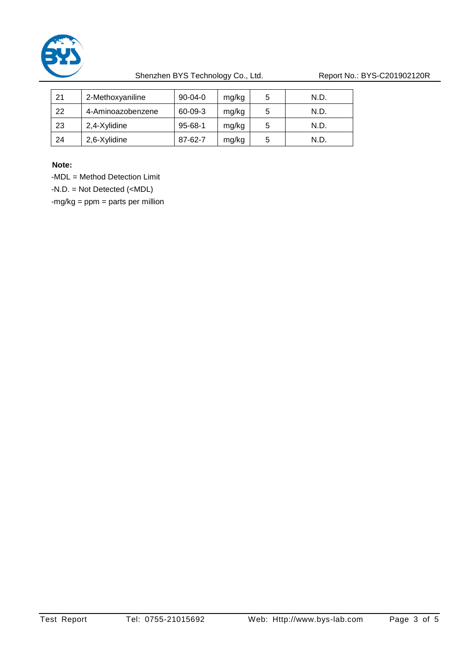

Shenzhen BYS Technology Co., Ltd. Report No.: BYS-C201902120R

| 21 | 2-Methoxyaniline  | $90 - 04 - 0$ | mg/kg | 5 | N.D. |
|----|-------------------|---------------|-------|---|------|
| 22 | 4-Aminoazobenzene | 60-09-3       | mg/kg | 5 | N.D. |
| 23 | 2,4-Xylidine      | $95 - 68 - 1$ | mg/kg | 5 | N.D. |
| 24 | 2,6-Xylidine      | 87-62-7       | mg/kg | 5 | N.D. |

**Note:** 

-MDL = Method Detection Limit

-N.D. = Not Detected (<MDL)

 $-mg/kg = ppm = parts per million$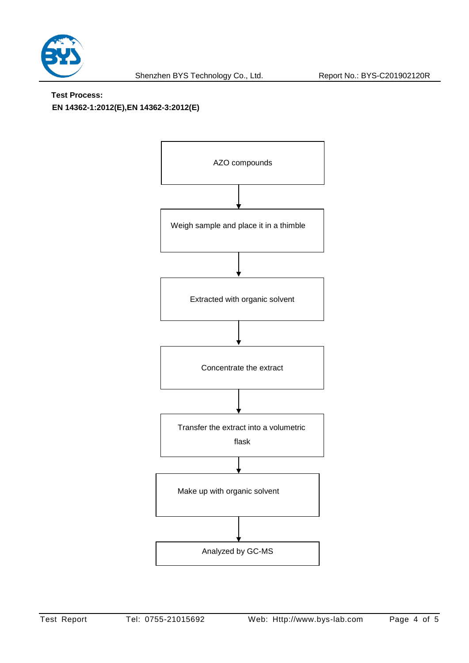

### **Test Process:**

**EN 14362-1:2012(E),EN 14362-3:2012(E)**